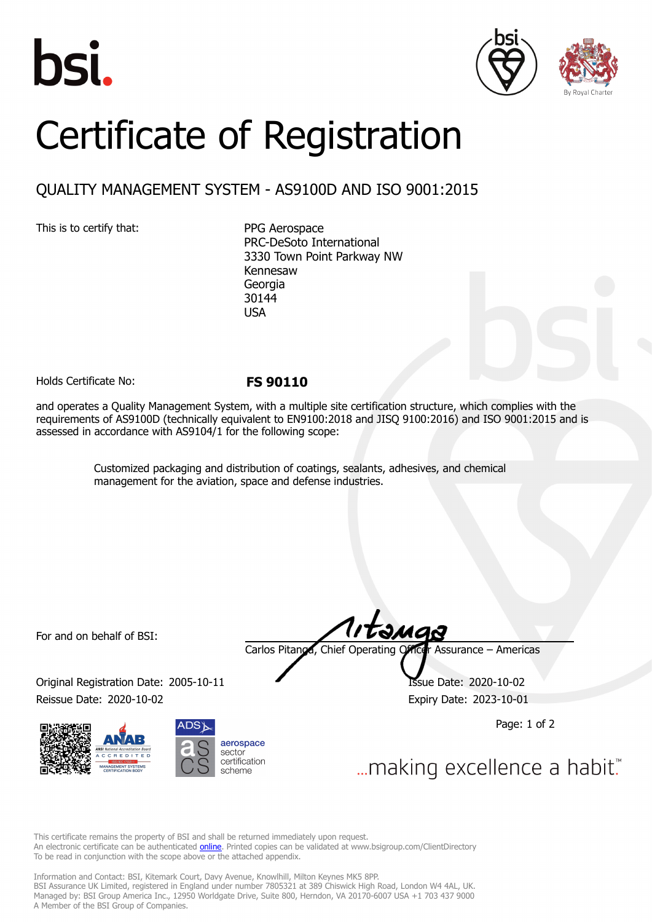





## Certificate of Registration

## QUALITY MANAGEMENT SYSTEM - AS9100D AND ISO 9001:2015

This is to certify that: PPG Aerospace

PRC-DeSoto International 3330 Town Point Parkway NW Kennesaw Georgia 30144 USA

Holds Certificate No: **FS 90110**

and operates a Quality Management System, with a multiple site certification structure, which complies with the requirements of AS9100D (technically equivalent to EN9100:2018 and JISQ 9100:2016) and ISO 9001:2015 and is assessed in accordance with AS9104/1 for the following scope:

> Customized packaging and distribution of coatings, sealants, adhesives, and chemical management for the aviation, space and defense industries.

For and on behalf of BSI:

Original Registration Date: 2005-10-11 **ISSUE Date: 2020-10-02** Reissue Date: 2020-10-02 Expiry Date: 2023-10-01





təmas

Carlos Pitanga, Chief Operating Officer Assurance – Americas

Page: 1 of 2

... making excellence a habit."

This certificate remains the property of BSI and shall be returned immediately upon request. An electronic certificate can be authenticated **[online](https://pgplus.bsigroup.com/CertificateValidation/CertificateValidator.aspx?CertificateNumber=FS+90110&ReIssueDate=02%2f10%2f2020&Template=inc)**. Printed copies can be validated at www.bsigroup.com/ClientDirectory To be read in conjunction with the scope above or the attached appendix.

Information and Contact: BSI, Kitemark Court, Davy Avenue, Knowlhill, Milton Keynes MK5 8PP. BSI Assurance UK Limited, registered in England under number 7805321 at 389 Chiswick High Road, London W4 4AL, UK. Managed by: BSI Group America Inc., 12950 Worldgate Drive, Suite 800, Herndon, VA 20170-6007 USA +1 703 437 9000 A Member of the BSI Group of Companies.